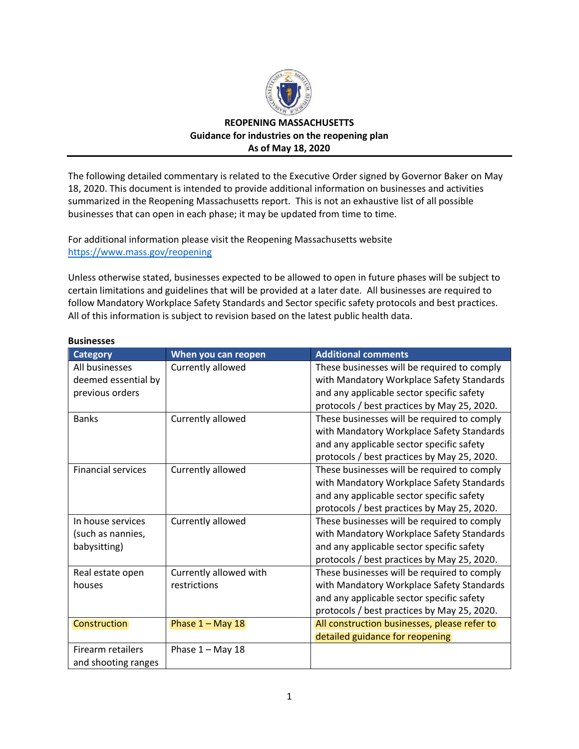

## **REOPENING MASSACHUSETTS Guidance for industries on the reopening plan As of May 18, 2020**

The following detailed commentary is related to the Executive Order signed by Governor Baker on May 18, 2020. This document is intended to provide additional information on businesses and activities summarized in the Reopening Massachusetts report. This is not an exhaustive list of all possible businesses that can open in each phase; it may be updated from time to time.

For additional information please visit the Reopening Massachusetts website <https://www.mass.gov/reopening>

Unless otherwise stated, businesses expected to be allowed to open in future phases will be subject to certain limitations and guidelines that will be provided at a later date. All businesses are required to follow Mandatory Workplace Safety Standards and Sector specific safety protocols and best practices. All of this information is subject to revision based on the latest public health data.

| <b>Category</b>           | When you can reopen    | <b>Additional comments</b>                   |
|---------------------------|------------------------|----------------------------------------------|
| All businesses            | Currently allowed      | These businesses will be required to comply  |
| deemed essential by       |                        | with Mandatory Workplace Safety Standards    |
| previous orders           |                        | and any applicable sector specific safety    |
|                           |                        | protocols / best practices by May 25, 2020.  |
| <b>Banks</b>              | Currently allowed      | These businesses will be required to comply  |
|                           |                        | with Mandatory Workplace Safety Standards    |
|                           |                        | and any applicable sector specific safety    |
|                           |                        | protocols / best practices by May 25, 2020.  |
| <b>Financial services</b> | Currently allowed      | These businesses will be required to comply  |
|                           |                        | with Mandatory Workplace Safety Standards    |
|                           |                        | and any applicable sector specific safety    |
|                           |                        | protocols / best practices by May 25, 2020.  |
| In house services         | Currently allowed      | These businesses will be required to comply  |
| (such as nannies,         |                        | with Mandatory Workplace Safety Standards    |
| babysitting)              |                        | and any applicable sector specific safety    |
|                           |                        | protocols / best practices by May 25, 2020.  |
| Real estate open          | Currently allowed with | These businesses will be required to comply  |
| houses                    | restrictions           | with Mandatory Workplace Safety Standards    |
|                           |                        | and any applicable sector specific safety    |
|                           |                        | protocols / best practices by May 25, 2020.  |
| Construction              | Phase 1 - May 18       | All construction businesses, please refer to |
|                           |                        | detailed guidance for reopening              |
| Firearm retailers         | Phase $1 - May 18$     |                                              |
| and shooting ranges       |                        |                                              |

## **Businesses**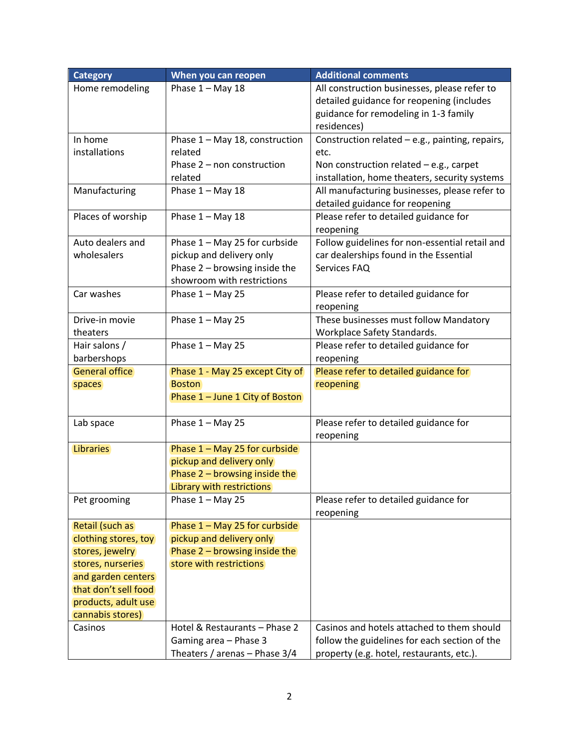| <b>Category</b>                            | When you can reopen             | <b>Additional comments</b>                      |
|--------------------------------------------|---------------------------------|-------------------------------------------------|
| Home remodeling                            | Phase $1 - May 18$              | All construction businesses, please refer to    |
|                                            |                                 | detailed guidance for reopening (includes       |
|                                            |                                 | guidance for remodeling in 1-3 family           |
|                                            |                                 | residences)                                     |
| In home                                    | Phase 1 - May 18, construction  | Construction related - e.g., painting, repairs, |
| installations                              | related                         | etc.                                            |
|                                            | Phase 2 - non construction      | Non construction related $-e.g.,$ carpet        |
|                                            | related                         | installation, home theaters, security systems   |
| Manufacturing                              | Phase $1 - May 18$              | All manufacturing businesses, please refer to   |
|                                            |                                 | detailed guidance for reopening                 |
| Places of worship                          | Phase $1 - May 18$              | Please refer to detailed guidance for           |
|                                            |                                 | reopening                                       |
| Auto dealers and                           | Phase 1 - May 25 for curbside   | Follow guidelines for non-essential retail and  |
| wholesalers                                | pickup and delivery only        | car dealerships found in the Essential          |
|                                            | Phase 2 - browsing inside the   | Services FAQ                                    |
|                                            | showroom with restrictions      |                                                 |
| Car washes                                 | Phase $1 -$ May 25              | Please refer to detailed guidance for           |
|                                            |                                 | reopening                                       |
| Drive-in movie                             | Phase $1 -$ May 25              | These businesses must follow Mandatory          |
| theaters                                   |                                 | Workplace Safety Standards.                     |
| Hair salons /                              | Phase $1 - May 25$              | Please refer to detailed guidance for           |
| barbershops                                |                                 | reopening                                       |
| <b>General office</b>                      | Phase 1 - May 25 except City of | Please refer to detailed guidance for           |
| spaces                                     | <b>Boston</b>                   | reopening                                       |
|                                            | Phase 1 - June 1 City of Boston |                                                 |
|                                            |                                 |                                                 |
| Lab space                                  | Phase $1 - May 25$              | Please refer to detailed guidance for           |
|                                            |                                 | reopening                                       |
| <b>Libraries</b>                           | Phase 1 - May 25 for curbside   |                                                 |
|                                            | pickup and delivery only        |                                                 |
|                                            | Phase 2 - browsing inside the   |                                                 |
|                                            | Library with restrictions       |                                                 |
| Pet grooming                               | Phase $1 -$ May 25              | Please refer to detailed guidance for           |
|                                            |                                 | reopening                                       |
| Retail (such as                            | Phase 1 - May 25 for curbside   |                                                 |
| clothing stores, toy                       | pickup and delivery only        |                                                 |
| stores, jewelry                            | Phase $2$ – browsing inside the |                                                 |
| stores, nurseries                          | store with restrictions         |                                                 |
| and garden centers<br>that don't sell food |                                 |                                                 |
|                                            |                                 |                                                 |
| products, adult use<br>cannabis stores)    |                                 |                                                 |
|                                            | Hotel & Restaurants - Phase 2   | Casinos and hotels attached to them should      |
| Casinos                                    |                                 |                                                 |
|                                            | Gaming area - Phase 3           | follow the guidelines for each section of the   |
|                                            | Theaters / arenas - Phase 3/4   | property (e.g. hotel, restaurants, etc.).       |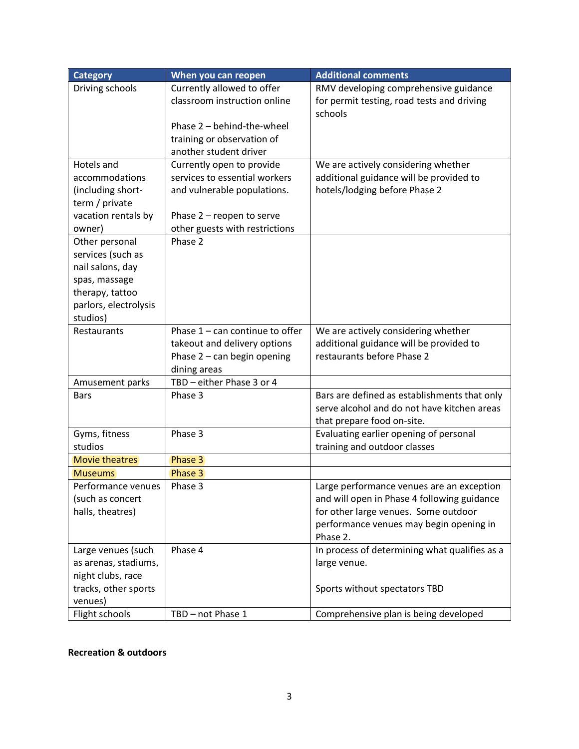| <b>Category</b>       | When you can reopen               | <b>Additional comments</b>                    |
|-----------------------|-----------------------------------|-----------------------------------------------|
| Driving schools       | Currently allowed to offer        | RMV developing comprehensive guidance         |
|                       | classroom instruction online      | for permit testing, road tests and driving    |
|                       |                                   | schools                                       |
|                       | Phase 2 - behind-the-wheel        |                                               |
|                       | training or observation of        |                                               |
|                       | another student driver            |                                               |
| Hotels and            | Currently open to provide         | We are actively considering whether           |
| accommodations        | services to essential workers     | additional guidance will be provided to       |
| (including short-     | and vulnerable populations.       | hotels/lodging before Phase 2                 |
| term / private        |                                   |                                               |
| vacation rentals by   | Phase 2 - reopen to serve         |                                               |
| owner)                | other guests with restrictions    |                                               |
| Other personal        | Phase 2                           |                                               |
| services (such as     |                                   |                                               |
| nail salons, day      |                                   |                                               |
| spas, massage         |                                   |                                               |
| therapy, tattoo       |                                   |                                               |
| parlors, electrolysis |                                   |                                               |
| studios)              |                                   |                                               |
| Restaurants           | Phase $1 - can continue to offer$ | We are actively considering whether           |
|                       | takeout and delivery options      | additional guidance will be provided to       |
|                       | Phase 2 - can begin opening       | restaurants before Phase 2                    |
|                       | dining areas                      |                                               |
| Amusement parks       | TBD - either Phase 3 or 4         |                                               |
| <b>Bars</b>           | Phase 3                           | Bars are defined as establishments that only  |
|                       |                                   | serve alcohol and do not have kitchen areas   |
|                       |                                   | that prepare food on-site.                    |
| Gyms, fitness         | Phase 3                           | Evaluating earlier opening of personal        |
| studios               |                                   | training and outdoor classes                  |
| <b>Movie theatres</b> | Phase 3                           |                                               |
| <b>Museums</b>        | Phase 3                           |                                               |
| Performance venues    | Phase 3                           | Large performance venues are an exception     |
| (such as concert      |                                   | and will open in Phase 4 following guidance   |
| halls, theatres)      |                                   | for other large venues. Some outdoor          |
|                       |                                   | performance venues may begin opening in       |
|                       |                                   | Phase 2.                                      |
| Large venues (such    | Phase 4                           | In process of determining what qualifies as a |
| as arenas, stadiums,  |                                   | large venue.                                  |
| night clubs, race     |                                   |                                               |
| tracks, other sports  |                                   | Sports without spectators TBD                 |
| venues)               |                                   |                                               |
| Flight schools        | TBD - not Phase 1                 | Comprehensive plan is being developed         |

## **Recreation & outdoors**